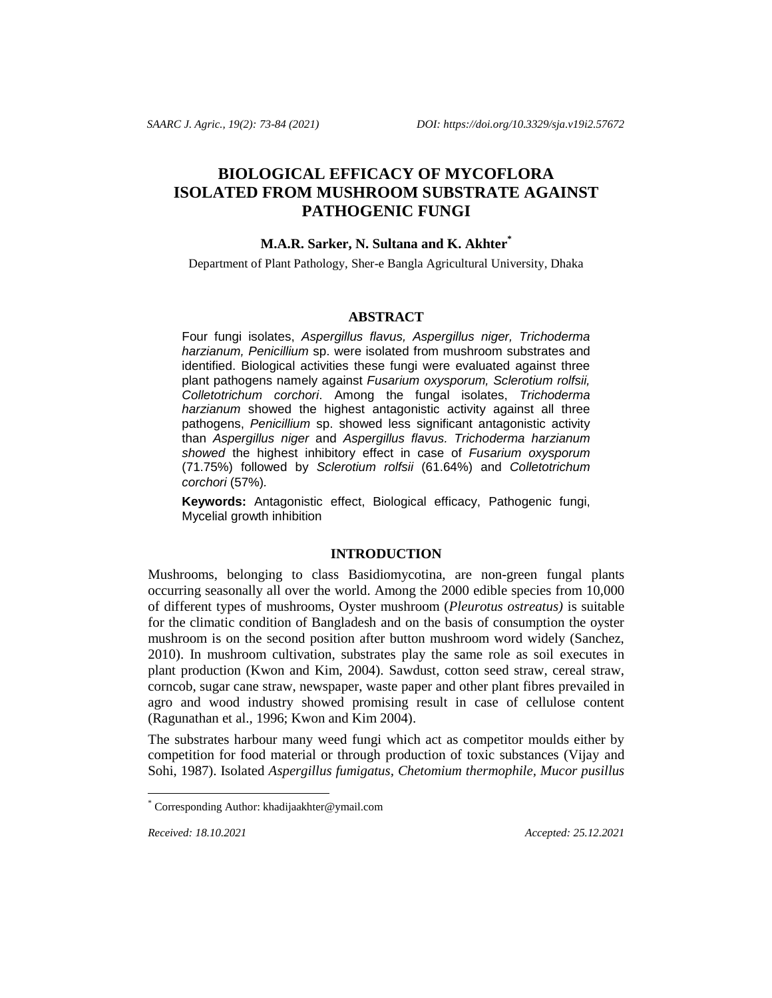# **BIOLOGICAL EFFICACY OF MYCOFLORA ISOLATED FROM MUSHROOM SUBSTRATE AGAINST PATHOGENIC FUNGI**

## **M.A.R. Sarker, N. Sultana and K. Akhter\***

Department of Plant Pathology, Sher-e Bangla Agricultural University, Dhaka

#### **ABSTRACT**

Four fungi isolates, *Aspergillus flavus, Aspergillus niger, Trichoderma harzianum, Penicillium* sp. were isolated from mushroom substrates and identified. Biological activities these fungi were evaluated against three plant pathogens namely against *Fusarium oxysporum, Sclerotium rolfsii, Colletotrichum corchori*. Among the fungal isolates, *Trichoderma harzianum* showed the highest antagonistic activity against all three pathogens, *Penicillium* sp. showed less significant antagonistic activity than *Aspergillus niger* and *Aspergillus flavus. Trichoderma harzianum showed* the highest inhibitory effect in case of *Fusarium oxysporum* (71.75%) followed by *Sclerotium rolfsii* (61.64%) and *Colletotrichum corchori* (57%)*.*

**Keywords:** Antagonistic effect, Biological efficacy, Pathogenic fungi, Mycelial growth inhibition

# **INTRODUCTION**

Mushrooms, belonging to class Basidiomycotina, are non-green fungal plants occurring seasonally all over the world. Among the 2000 edible species from 10,000 of different types of mushrooms, Oyster mushroom (*Pleurotus ostreatus)* is suitable for the climatic condition of Bangladesh and on the basis of consumption the oyster mushroom is on the second position after button mushroom word widely (Sanchez, 2010). In mushroom cultivation, substrates play the same role as soil executes in plant production (Kwon and Kim, 2004). Sawdust, cotton seed straw, cereal straw, corncob, sugar cane straw, newspaper, waste paper and other plant fibres prevailed in agro and wood industry showed promising result in case of cellulose content (Ragunathan et al.*,* 1996; Kwon and Kim 2004).

The substrates harbour many weed fungi which act as competitor moulds either by competition for food material or through production of toxic substances (Vijay and Sohi, 1987). Isolated *Aspergillus fumigatus, Chetomium thermophile, Mucor pusillus*

*Received: 18.10.2021 Accepted: 25.12.2021*

l

Corresponding Author: khadijaakhter@ymail.com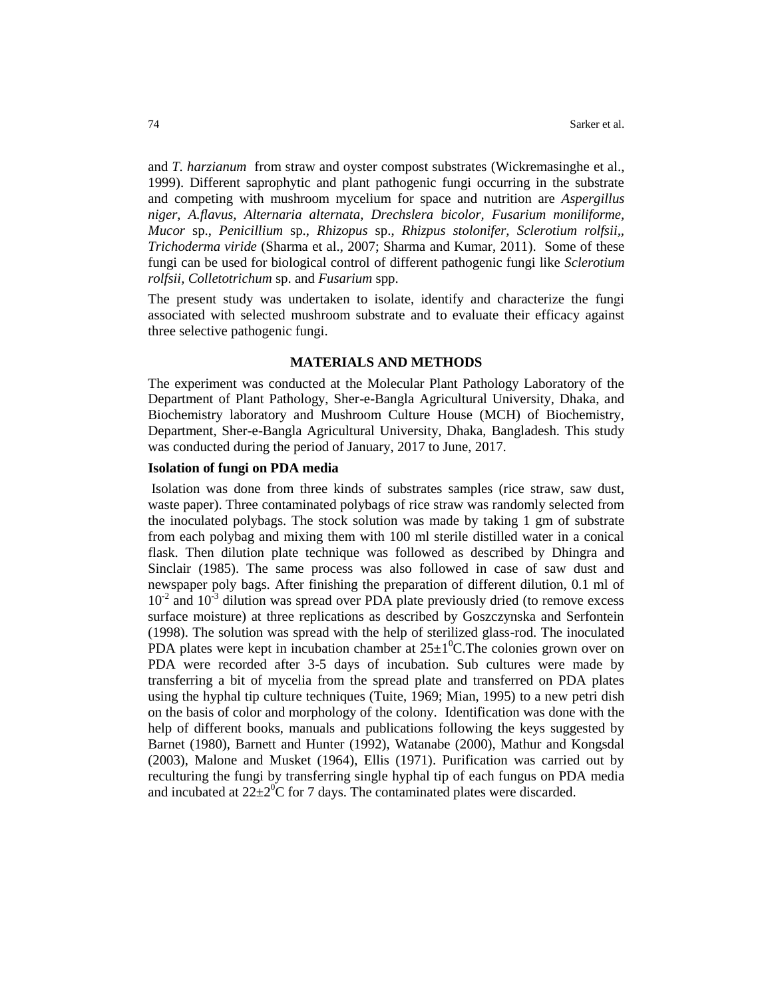and *T. harzianum* from straw and oyster compost substrates (Wickremasinghe et al., 1999). Different saprophytic and plant pathogenic fungi occurring in the substrate and competing with mushroom mycelium for space and nutrition are *Aspergillus niger*, *A.flavus, Alternaria alternata, Drechslera bicolor, Fusarium moniliforme, Mucor* sp., *Penicillium* sp., *Rhizopus* sp., *Rhizpus stolonifer, Sclerotium rolfsii,, Trichoderma viride* (Sharma et al., 2007; Sharma and Kumar, 2011). Some of these fungi can be used for biological control of different pathogenic fungi like *Sclerotium rolfsii, Colletotrichum* sp. and *Fusarium* spp.

The present study was undertaken to isolate, identify and characterize the fungi associated with selected mushroom substrate and to evaluate their efficacy against three selective pathogenic fungi.

#### **MATERIALS AND METHODS**

The experiment was conducted at the Molecular Plant Pathology Laboratory of the Department of Plant Pathology, Sher-e-Bangla Agricultural University, Dhaka, and Biochemistry laboratory and Mushroom Culture House (MCH) of Biochemistry, Department, Sher-e-Bangla Agricultural University, Dhaka, Bangladesh. This study was conducted during the period of January, 2017 to June, 2017.

# **Isolation of fungi on PDA media**

Isolation was done from three kinds of substrates samples (rice straw, saw dust, waste paper). Three contaminated polybags of rice straw was randomly selected from the inoculated polybags. The stock solution was made by taking 1 gm of substrate from each polybag and mixing them with 100 ml sterile distilled water in a conical flask. Then dilution plate technique was followed as described by Dhingra and Sinclair (1985). The same process was also followed in case of saw dust and newspaper poly bags. After finishing the preparation of different dilution, 0.1 ml of  $10<sup>2</sup>$  and  $10<sup>3</sup>$  dilution was spread over PDA plate previously dried (to remove excess surface moisture) at three replications as described by Goszczynska and Serfontein (1998). The solution was spread with the help of sterilized glass-rod. The inoculated PDA plates were kept in incubation chamber at  $25\pm1\textsuperscript{0}$ C. The colonies grown over on PDA were recorded after 3-5 days of incubation. Sub cultures were made by transferring a bit of mycelia from the spread plate and transferred on PDA plates using the hyphal tip culture techniques (Tuite, 1969; Mian, 1995) to a new petri dish on the basis of color and morphology of the colony. Identification was done with the help of different books, manuals and publications following the keys suggested by Barnet (1980), Barnett and Hunter (1992), Watanabe (2000), Mathur and Kongsdal (2003), Malone and Musket (1964), Ellis (1971). Purification was carried out by reculturing the fungi by transferring single hyphal tip of each fungus on PDA media and incubated at  $22\pm2\degree$ C for 7 days. The contaminated plates were discarded.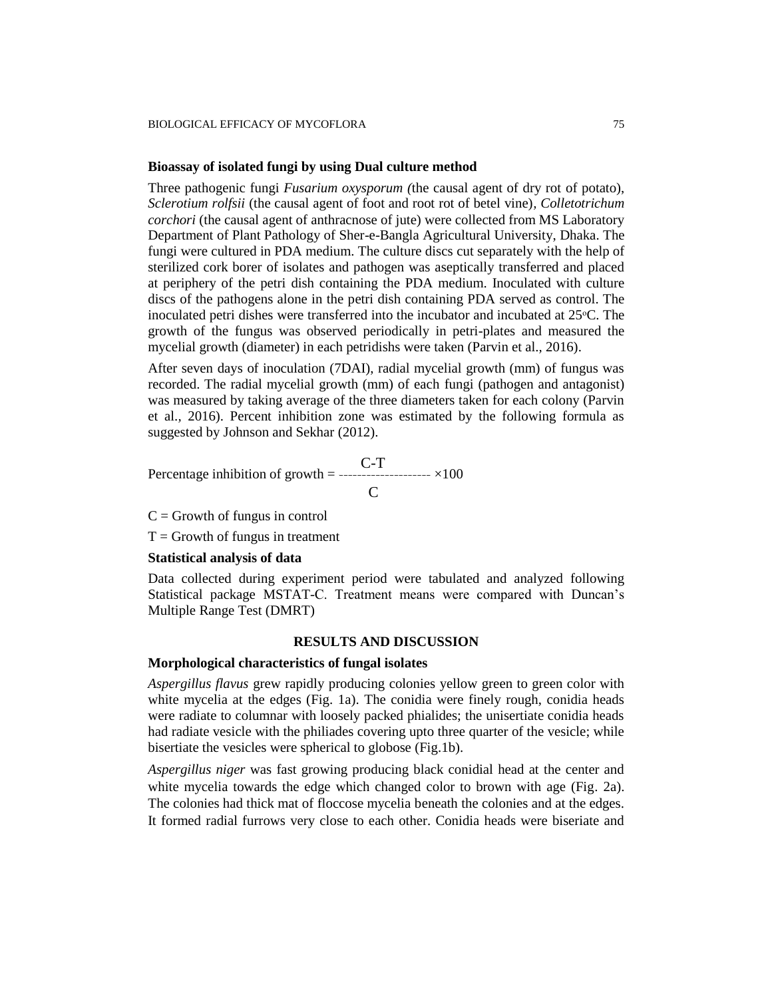#### **Bioassay of isolated fungi by using Dual culture method**

Three pathogenic fungi *Fusarium oxysporum (*the causal agent of dry rot of potato), *Sclerotium rolfsii* (the causal agent of foot and root rot of betel vine)*, Colletotrichum corchori* (the causal agent of anthracnose of jute) were collected from MS Laboratory Department of Plant Pathology of Sher-e-Bangla Agricultural University, Dhaka. The fungi were cultured in PDA medium. The culture discs cut separately with the help of sterilized cork borer of isolates and pathogen was aseptically transferred and placed at periphery of the petri dish containing the PDA medium. Inoculated with culture discs of the pathogens alone in the petri dish containing PDA served as control. The inoculated petri dishes were transferred into the incubator and incubated at  $25^{\circ}$ C. The growth of the fungus was observed periodically in petri-plates and measured the mycelial growth (diameter) in each petridishs were taken (Parvin et al.*,* 2016).

After seven days of inoculation (7DAI), radial mycelial growth (mm) of fungus was recorded. The radial mycelial growth (mm) of each fungi (pathogen and antagonist) was measured by taking average of the three diameters taken for each colony (Parvin et al.*,* 2016). Percent inhibition zone was estimated by the following formula as suggested by Johnson and Sekhar (2012).

Percentage inhibition of growth =  $-- \times 100$  $\mathsf{C}\phantom{0}$ 

 $C =$  Growth of fungus in control

 $T =$  Growth of fungus in treatment

#### **Statistical analysis of data**

Data collected during experiment period were tabulated and analyzed following Statistical package MSTAT-C. Treatment means were compared with Duncan's Multiple Range Test (DMRT)

## **RESULTS AND DISCUSSION**

#### **Morphological characteristics of fungal isolates**

*Aspergillus flavus* grew rapidly producing colonies yellow green to green color with white mycelia at the edges (Fig. 1a). The conidia were finely rough, conidia heads were radiate to columnar with loosely packed phialides; the unisertiate conidia heads had radiate vesicle with the philiades covering upto three quarter of the vesicle; while bisertiate the vesicles were spherical to globose (Fig.1b).

*Aspergillus niger* was fast growing producing black conidial head at the center and white mycelia towards the edge which changed color to brown with age (Fig. 2a). The colonies had thick mat of floccose mycelia beneath the colonies and at the edges. It formed radial furrows very close to each other. Conidia heads were biseriate and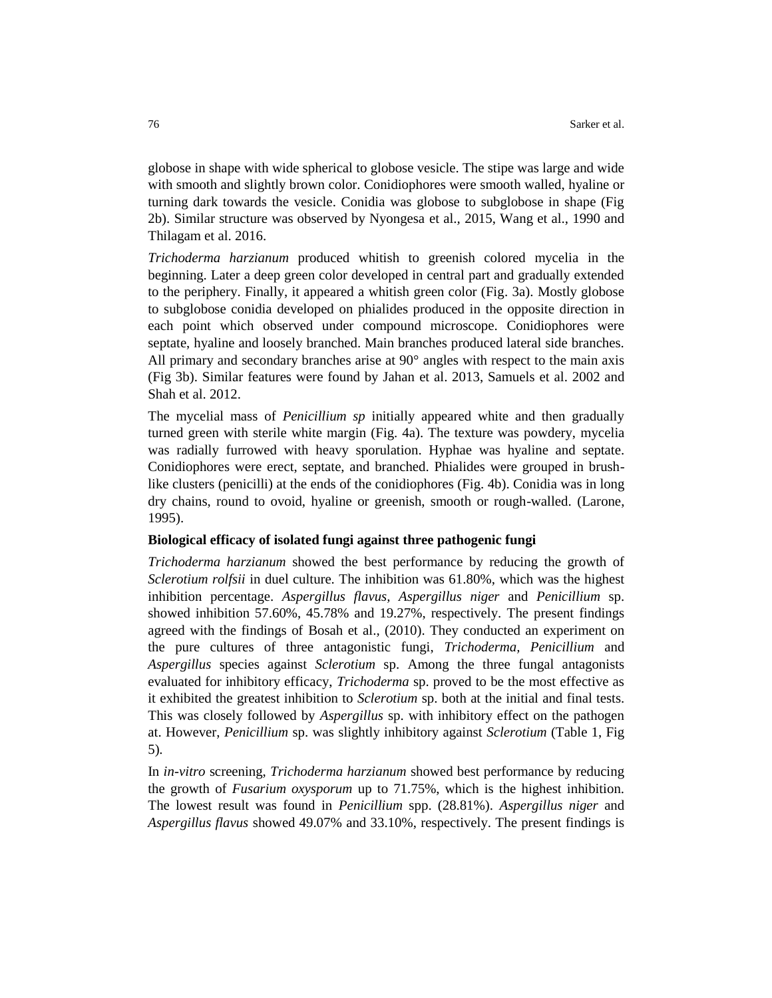globose in shape with wide spherical to globose vesicle. The stipe was large and wide with smooth and slightly brown color. Conidiophores were smooth walled, hyaline or turning dark towards the vesicle. Conidia was globose to subglobose in shape (Fig 2b). Similar structure was observed by Nyongesa et al.*,* 2015, Wang et al., 1990 and Thilagam et al. 2016.

*Trichoderma harzianum* produced whitish to greenish colored mycelia in the beginning. Later a deep green color developed in central part and gradually extended to the periphery. Finally, it appeared a whitish green color (Fig. 3a). Mostly globose to subglobose conidia developed on phialides produced in the opposite direction in each point which observed under compound microscope. Conidiophores were septate, hyaline and loosely branched. Main branches produced lateral side branches. All primary and secondary branches arise at 90° angles with respect to the main axis (Fig 3b). Similar features were found by Jahan et al. 2013, Samuels et al. 2002 and Shah et al. 2012.

The mycelial mass of *Penicillium sp* initially appeared white and then gradually turned green with sterile white margin (Fig. 4a). The texture was powdery, mycelia was radially furrowed with heavy sporulation. Hyphae was hyaline and septate. Conidiophores were erect, septate, and branched. Phialides were grouped in brushlike clusters (penicilli) at the ends of the conidiophores (Fig. 4b). Conidia was in long dry chains, round to ovoid, hyaline or greenish, smooth or rough-walled. (Larone, 1995).

#### **Biological efficacy of isolated fungi against three pathogenic fungi**

*Trichoderma harzianum* showed the best performance by reducing the growth of *Sclerotium rolfsii* in duel culture*.* The inhibition was 61.80%, which was the highest inhibition percentage. *Aspergillus flavus, Aspergillus niger* and *Penicillium* sp. showed inhibition 57.60%, 45.78% and 19.27%, respectively. The present findings agreed with the findings of Bosah et al.*,* (2010). They conducted an experiment on the pure cultures of three antagonistic fungi, *Trichoderma, Penicillium* and *Aspergillus* species against *Sclerotium* sp. Among the three fungal antagonists evaluated for inhibitory efficacy, *Trichoderma* sp. proved to be the most effective as it exhibited the greatest inhibition to *Sclerotium* sp. both at the initial and final tests. This was closely followed by *Aspergillus* sp. with inhibitory effect on the pathogen at. However, *Penicillium* sp. was slightly inhibitory against *Sclerotium* (Table 1, Fig 5)*.*

In *in-vitro* screening, *Trichoderma harzianum* showed best performance by reducing the growth of *Fusarium oxysporum* up to 71.75%, which is the highest inhibition. The lowest result was found in *Penicillium* spp. (28.81%). *Aspergillus niger* and *Aspergillus flavus* showed 49.07% and 33.10%, respectively. The present findings is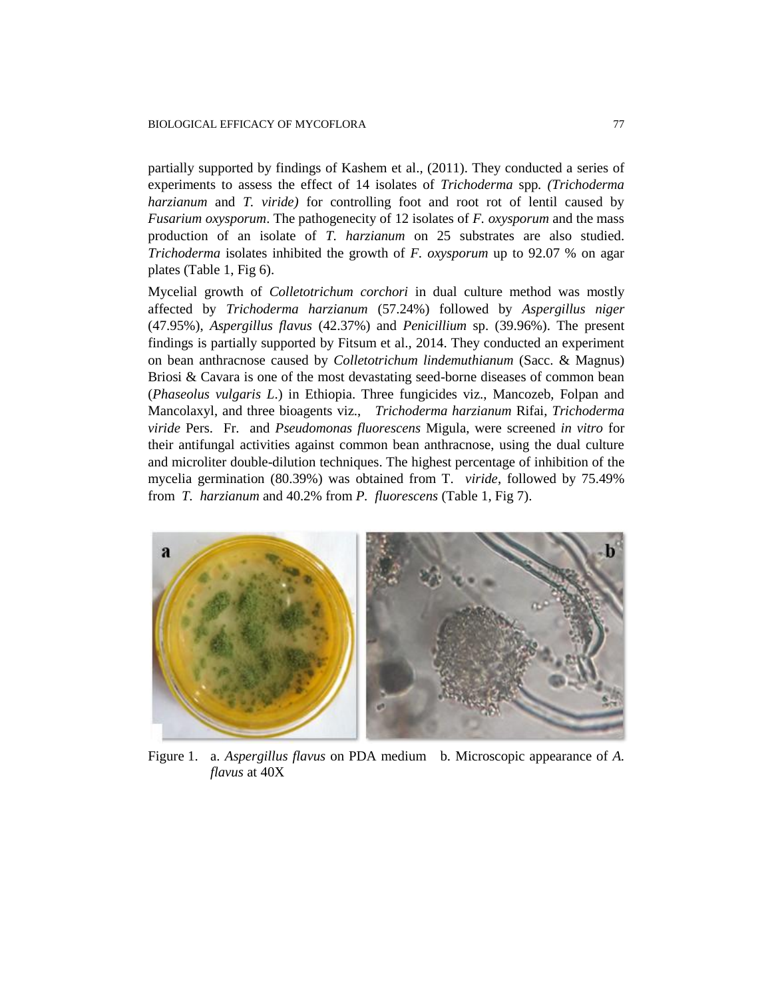partially supported by findings of Kashem et al.*,* (2011). They conducted a series of experiments to assess the effect of 14 isolates of *Trichoderma* spp*. (Trichoderma harzianum* and *T. viride)* for controlling foot and root rot of lentil caused by *Fusarium oxysporum*. The pathogenecity of 12 isolates of *F. oxysporum* and the mass production of an isolate of *T. harzianum* on 25 substrates are also studied. *Trichoderma* isolates inhibited the growth of *F. oxysporum* up to 92.07 % on agar plates (Table 1, Fig 6).

Mycelial growth of *Colletotrichum corchori* in dual culture method was mostly affected by *Trichoderma harzianum* (57.24%) followed by *Aspergillus niger* (47.95%), *Aspergillus flavus* (42.37%) and *Penicillium* sp. (39.96%). The present findings is partially supported by Fitsum et al.*,* 2014. They conducted an experiment on bean anthracnose caused by *Colletotrichum lindemuthianum* (Sacc. & Magnus) Briosi & Cavara is one of the most devastating seed-borne diseases of common bean (*Phaseolus vulgaris L*.) in Ethiopia. Three fungicides viz., Mancozeb, Folpan and Mancolaxyl, and three bioagents viz., *Trichoderma harzianum* Rifai, *Trichoderma viride* Pers. Fr. and *Pseudomonas fluorescens* Migula, were screened *in vitro* for their antifungal activities against common bean anthracnose, using the dual culture and microliter double-dilution techniques. The highest percentage of inhibition of the mycelia germination (80.39%) was obtained from T. *viride*, followed by 75.49% from *T. harzianum* and 40.2% from *P. fluorescens* (Table 1, Fig 7).



Figure 1. a. *Aspergillus flavus* on PDA medium b. Microscopic appearance of *A. flavus* at 40X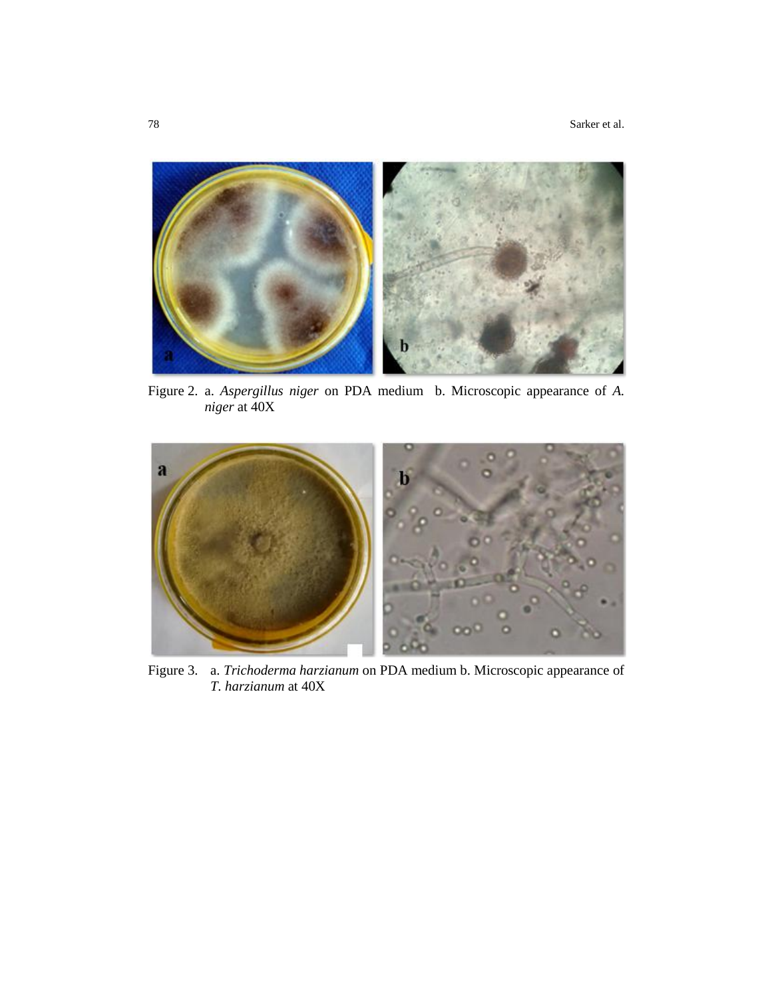

Figure 2. a. *Aspergillus niger* on PDA medium b. Microscopic appearance of *A. niger* at 40X



Figure 3. a. *Trichoderma harzianum* on PDA medium b. Microscopic appearance of *T. harzianum* at 40X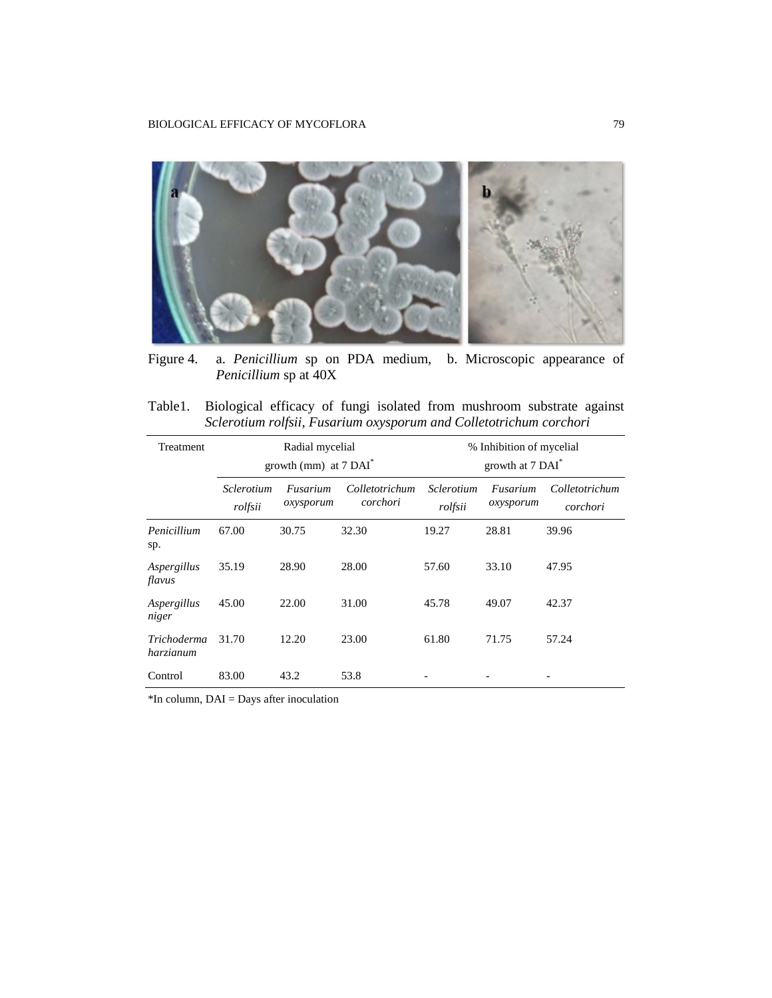

Figure 4. a. *Penicillium* sp on PDA medium, b. Microscopic appearance of *Penicillium* sp at 40X

Table1. Biological efficacy of fungi isolated from mushroom substrate against *Sclerotium rolfsii, Fusarium oxysporum and Colletotrichum corchori*

| <b>Treatment</b>                | Radial mycelial<br>growth (mm) at $7 \text{ }\mathrm{DAI}^*$ |                       |                            | % Inhibition of mycelial<br>growth at 7 DAI <sup>*</sup> |                       |                            |
|---------------------------------|--------------------------------------------------------------|-----------------------|----------------------------|----------------------------------------------------------|-----------------------|----------------------------|
|                                 | Sclerotium<br>rolfsii                                        | Fusarium<br>oxysporum | Colletotrichum<br>corchori | Sclerotium<br>rolfsii                                    | Fusarium<br>oxysporum | Colletotrichum<br>corchori |
| Penicillium<br>sp.              | 67.00                                                        | 30.75                 | 32.30                      | 19.27                                                    | 28.81                 | 39.96                      |
| Aspergillus<br>flavus           | 35.19                                                        | 28.90                 | 28.00                      | 57.60                                                    | 33.10                 | 47.95                      |
| Aspergillus<br>niger            | 45.00                                                        | 22.00                 | 31.00                      | 45.78                                                    | 49.07                 | 42.37                      |
| <i>Trichoderma</i><br>harzianum | 31.70                                                        | 12.20                 | 23.00                      | 61.80                                                    | 71.75                 | 57.24                      |
| Control                         | 83.00                                                        | 43.2                  | 53.8                       |                                                          |                       |                            |

\*In column, DAI = Days after inoculation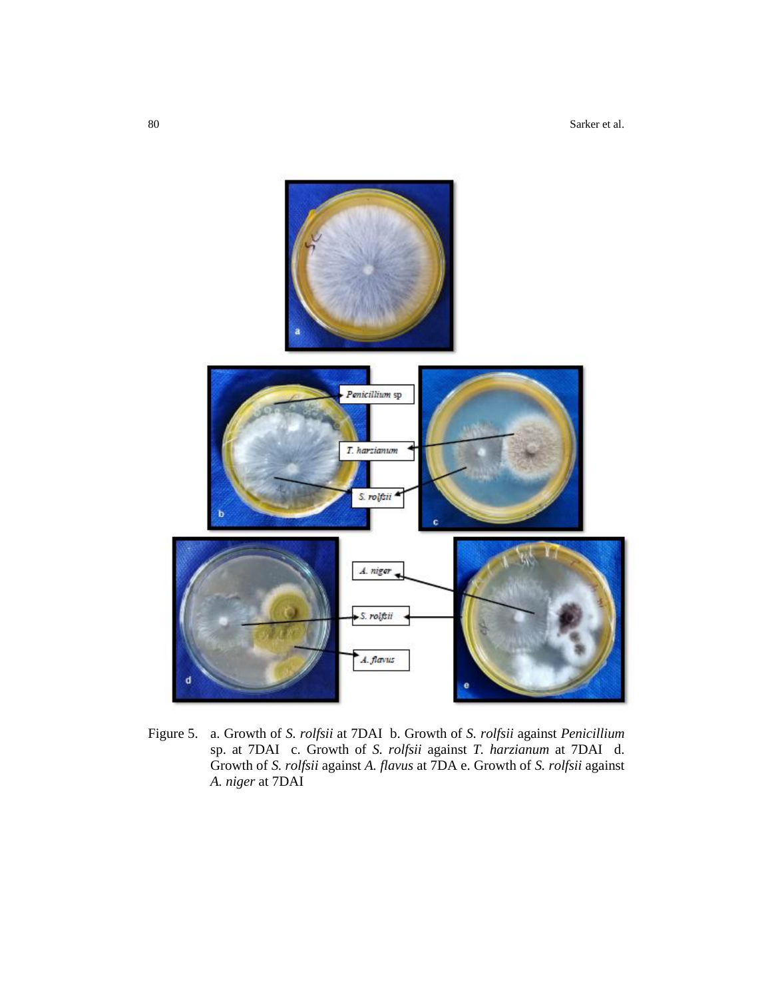80 Sarker et al.



Figure 5. a. Growth of *S. rolfsii* at 7DAI b. Growth of *S. rolfsii* against *Penicillium*  sp. at 7DAI c. Growth of *S. rolfsii* against *T. harzianum* at 7DAI d. Growth of *S. rolfsii* against *A. flavus* at 7DA e. Growth of *S. rolfsii* against *A. niger* at 7DAI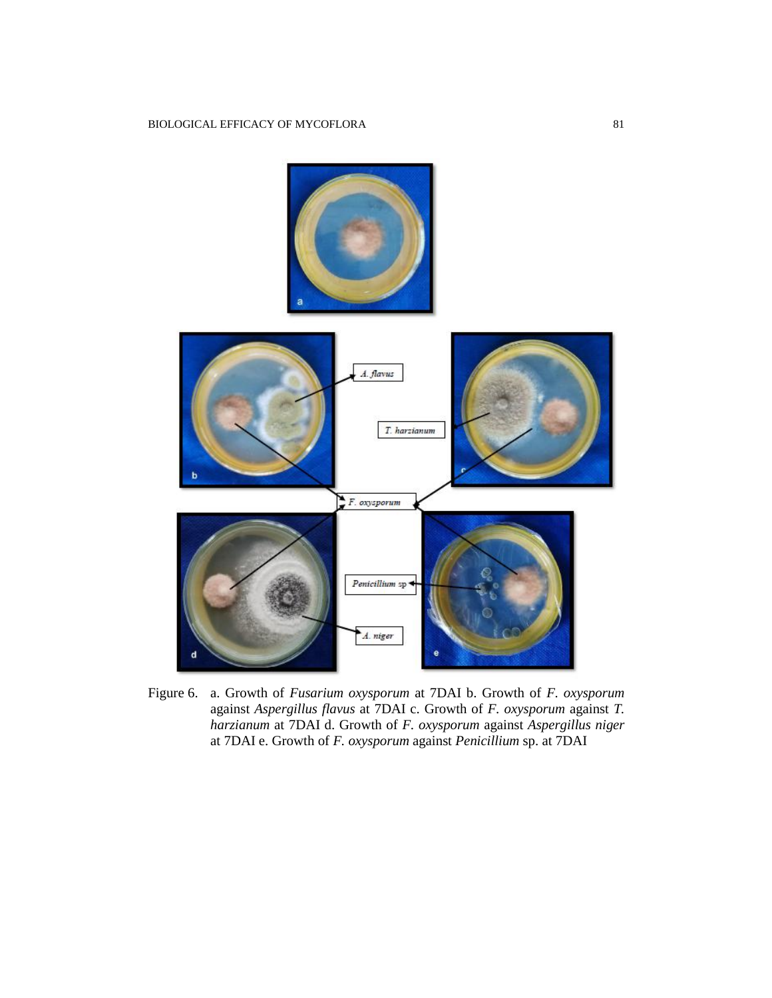

Figure 6. a. Growth of *Fusarium oxysporum* at 7DAI b. Growth of *F. oxysporum* against *Aspergillus flavus* at 7DAI c. Growth of *F. oxysporum* against *T. harzianum* at 7DAI d. Growth of *F. oxysporum* against *Aspergillus niger* at 7DAI e. Growth of *F. oxysporum* against *Penicillium* sp. at 7DAI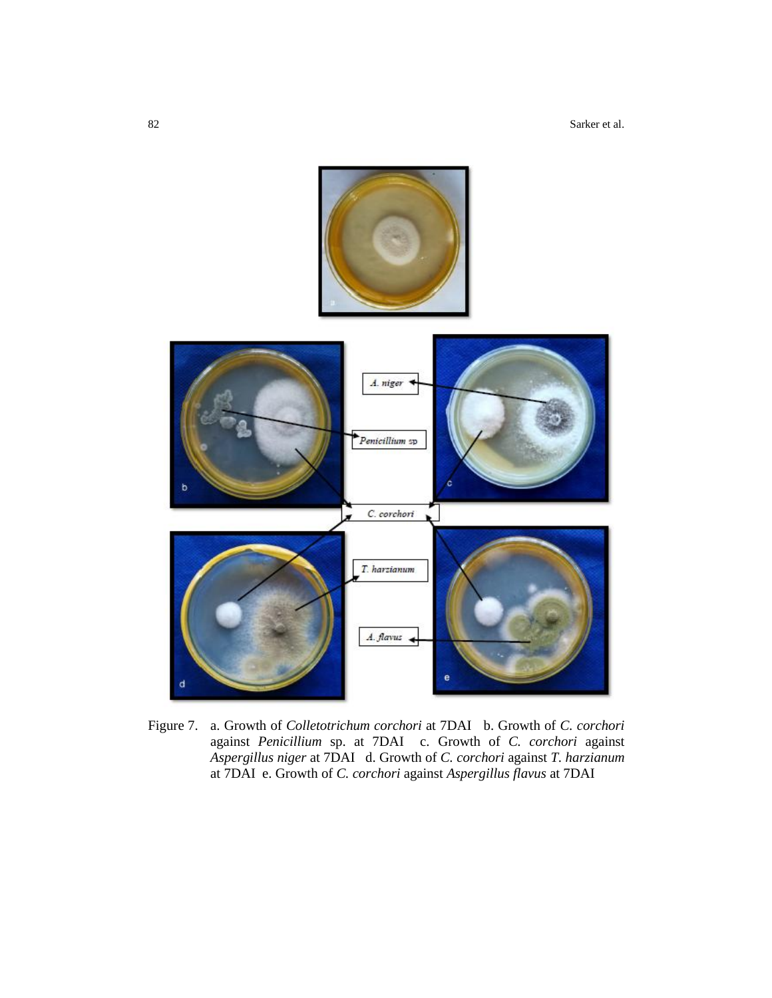82 Sarker et al.



Figure 7. a. Growth of *Colletotrichum corchori* at 7DAI b. Growth of *C. corchori*  against *Penicillium* sp. at 7DAI c. Growth of *C. corchori* against *Aspergillus niger* at 7DAI d. Growth of *C. corchori* against *T. harzianum* at 7DAI e. Growth of *C. corchori* against *Aspergillus flavus* at 7DAI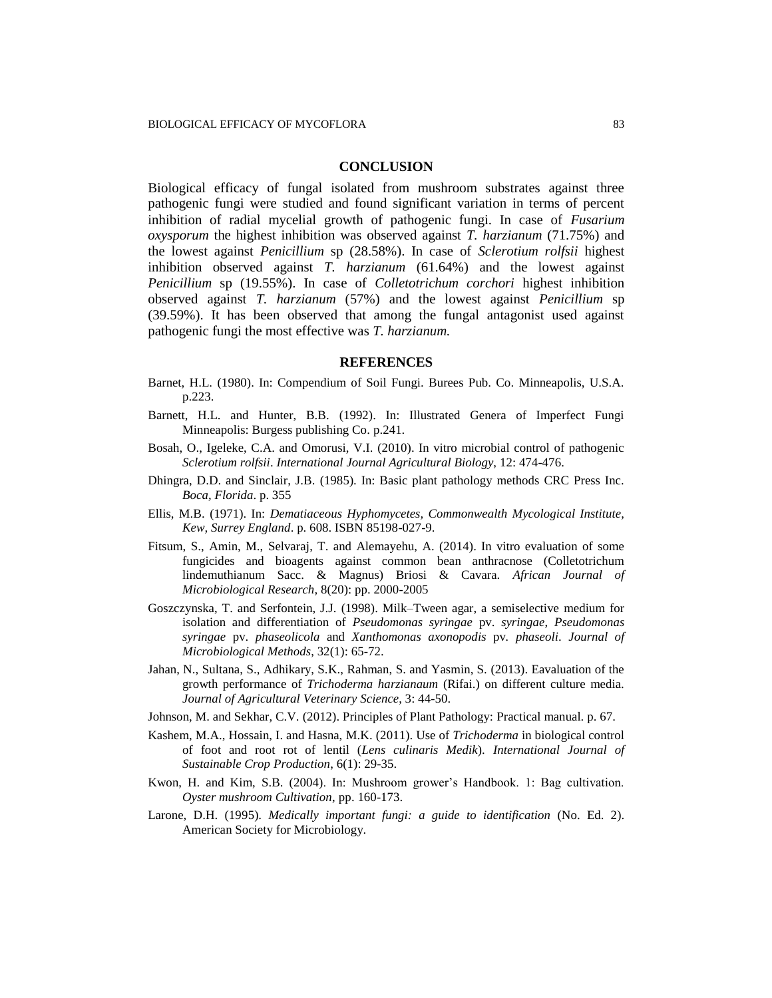#### **CONCLUSION**

Biological efficacy of fungal isolated from mushroom substrates against three pathogenic fungi were studied and found significant variation in terms of percent inhibition of radial mycelial growth of pathogenic fungi. In case of *Fusarium oxysporum* the highest inhibition was observed against *T. harzianum* (71.75%) and the lowest against *Penicillium* sp (28.58%). In case of *Sclerotium rolfsii* highest inhibition observed against *T. harzianum* (61.64%) and the lowest against *Penicillium* sp (19.55%). In case of *Colletotrichum corchori* highest inhibition observed against *T. harzianum* (57%) and the lowest against *Penicillium* sp (39.59%). It has been observed that among the fungal antagonist used against pathogenic fungi the most effective was *T. harzianum.*

#### **REFERENCES**

- Barnet, H.L. (1980). In: Compendium of Soil Fungi. Burees Pub. Co. Minneapolis, U.S.A. p.223.
- Barnett, H.L. and Hunter, B.B. (1992). In: Illustrated Genera of Imperfect Fungi Minneapolis: Burgess publishing Co. p.241.
- Bosah, O., Igeleke, C.A. and Omorusi, V.I. (2010). In vitro microbial control of pathogenic *Sclerotium rolfsii*. *International Journal Agricultural Biology*, 12: 474-476.
- Dhingra, D.D. and Sinclair, J.B. (1985). In: Basic plant pathology methods CRC Press Inc. *Boca, Florida*. p. 355
- Ellis, M.B. (1971). In: *Dematiaceous Hyphomycetes, Commonwealth Mycological Institute, Kew, Surrey England*. p. 608. ISBN 85198-027-9.
- Fitsum, S., Amin, M., Selvaraj, T. and Alemayehu, A. (2014). In vitro evaluation of some fungicides and bioagents against common bean anthracnose (Colletotrichum lindemuthianum Sacc. & Magnus) Briosi & Cavara. *African Journal of Microbiological Research,* 8(20): pp. 2000-2005
- Goszczynska, T. and Serfontein, J.J. (1998). Milk–Tween agar, a semiselective medium for isolation and differentiation of *Pseudomonas syringae* pv. *syringae*, *Pseudomonas syringae* pv. *phaseolicola* and *Xanthomonas axonopodis* pv*. phaseoli*. *Journal of Microbiological Methods*, 32(1): 65-72.
- Jahan, N., Sultana, S., Adhikary, S.K., Rahman, S. and Yasmin, S. (2013). Eavaluation of the growth performance of *Trichoderma harzianaum* (Rifai.) on different culture media. *Journal of Agricultural Veterinary Science*, 3: 44-50.
- Johnson, M. and Sekhar, C.V. (2012). Principles of Plant Pathology: Practical manual. p. 67.
- Kashem, M.A., Hossain, I. and Hasna, M.K. (2011). Use of *Trichoderma* in biological control of foot and root rot of lentil (*Lens culinaris Medik*). *International Journal of Sustainable Crop Production*, 6(1): 29-35.
- Kwon, H. and Kim, S.B. (2004). In: Mushroom grower's Handbook. 1: Bag cultivation. *Oyster mushroom Cultivation*, pp. 160-173.
- Larone, D.H. (1995). *Medically important fungi: a guide to identification* (No. Ed. 2). American Society for Microbiology.